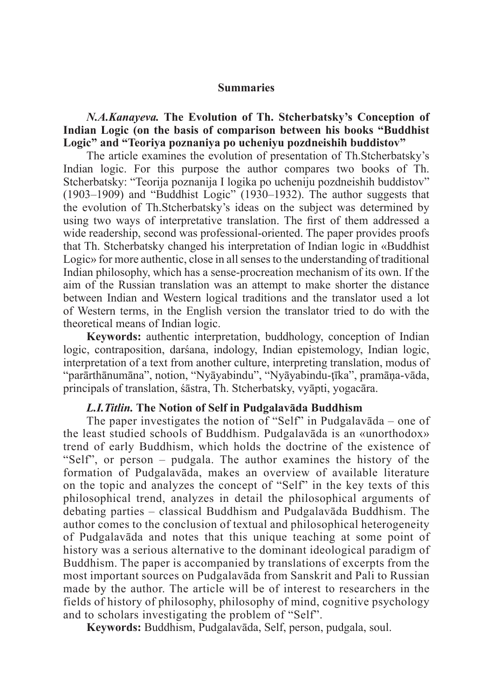### **Summaries**

*N.A.Kanayeva.* **The Evolution of Th. Stcherbatsky's Сonception of Indian Logic (on the basis of comparison between his books "Buddhist Logic" and "Teoriya poznaniya po ucheniyu pozdneishih buddistov"**

The article examines the evolution of presentation of Th.Stcherbatsky's Indian logic. For this purpose the author compares two books of Th. Stcherbatsky: "Teorija poznanija I logika po ucheniju pozdneishih buddistov" (1903–1909) and "Buddhist Logic" (1930–1932). The author suggests that the evolution of Th.Stcherbatsky's ideas on the subject was determined by using two ways of interpretative translation. The first of them addressed a wide readership, second was professional-oriented. The paper provides proofs that Th. Stcherbatsky changed his interpretation of Indian logic in «Buddhist Logic» for more authentic, close in all senses to the understanding of traditional Indian philosophy, which has a sense-procreation mechanism of its own. If the aim of the Russian translation was an attempt to make shorter the distance between Indian and Western logical traditions and the translator used a lot of Western terms, in the English version the translator tried to do with the theoretical means of Indian logic.

**Keywords:** authentic interpretation, buddhology, conception of Indian logic, contraposition, darśana, indology, Indian epistemology, Indian logic, interpretation of a text from another culture, interpreting translation, modus of "parārthānumāna", notion, "Nyāyabindu", "Nyāyabindu-ţīka", pramāņa-vāda, principals of translation, śāstra, Th. Stcherbatsky, vyāpti, yogacāra.

### *L.I.Titlin.* **The Notion of Self in Pudgalavāda Buddhism**

The paper investigates the notion of "Self" in Pudgalavādа – one of the least studied schools of Buddhism. Pudgalavāda is an «unorthodox» trend of early Buddhism, which holds the doctrine of the existence of "Self", or person – pudgala. The author examines the history of the formation of Pudgalavāda, makes an overview of available literature on the topic and analyzes the concept of "Self" in the key texts of this philosophical trend, analyzes in detail the philosophical arguments of debating parties – classical Buddhism and Pudgalavāda Buddhism. The author comes to the conclusion of textual and philosophical heterogeneity of Pudgalavāda and notes that this unique teaching at some point of history was a serious alternative to the dominant ideological paradigm of Buddhism. The paper is accompanied by translations of excerpts from the most important sources on Pudgalavāda from Sanskrit and Pali to Russian made by the author. The article will be of interest to researchers in the fields of history of philosophy, philosophy of mind, cognitive psychology and to scholars investigating the problem of "Self".

**Keywords:** Buddhism, Pudgalavāda, Self, person, pudgala, soul.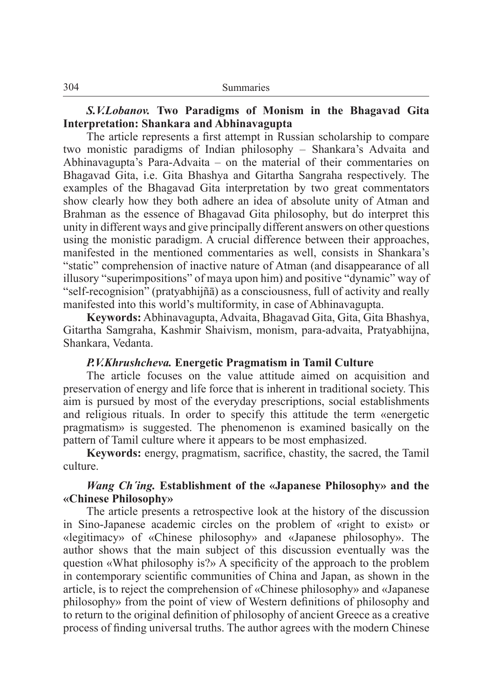## *S.V.Lobanov.* **Two Paradigms of Monism in the Bhagavad Gita Interpretation: Shankara and Abhinavagupta**

The article represents a first attempt in Russian scholarship to compare two monistic paradigms of Indian philosophy – Shankara's Advaita and Abhinavagupta's Para-Advaita – on the material of their commentaries on Bhagavad Gita, i.e. Gita Bhashya and Gitartha Sangraha respectively. The examples of the Bhagavad Gita interpretation by two great commentators show clearly how they both adhere an idea of absolute unity of Atman and Brahman as the essence of Bhagavad Gita philosophy, but do interpret this unity in different ways and give principally different answers on other questions using the monistic paradigm. A crucial difference between their approaches, manifested in the mentioned commentaries as well, consists in Shankara's "static" comprehension of inactive nature of Atman (and disappearance of all illusory "superimpositions" of maya upon him) and positive "dynamic" way of "self-recognision" (pratyabhijñā) as a consciousness, full of activity and really manifested into this world's multiformity, in case of Abhinavagupta.

**Keywords:** Abhinavagupta, Advaita, Bhagavad Gita, Gita, Gita Bhashya, Gitartha Samgraha, Kashmir Shaivism, monism, para-advaita, Pratyabhijna, Shankara, Vedanta.

### *P.V.Khrushcheva.* **Energetic Pragmatism in Tamil Culture**

The article focuses on the value attitude aimed on acquisition and preservation of energy and life force that is inherent in traditional society. This aim is pursued by most of the everyday prescriptions, social establishments and religious rituals. In order to specify this attitude the term «energetic pragmatism» is suggested. The phenomenon is examined basically on the pattern of Tamil culture where it appears to be most emphasized.

**Keywords:** energy, pragmatism, sacrifice, chastity, the sacred, the Tamil culture.

## *Wang Ch´ing.* **Establishment of the «Japanese Philosophy» and the «Chinese Philosophy»**

The article presents a retrospective look at the history of the discussion in Sino-Japanese academic circles on the problem of «right to exist» or «legitimacy» of «Chinese philosophy» and «Japanese philosophy». The author shows that the main subject of this discussion eventually was the question «What philosophy is?» A specificity of the approach to the problem in contemporary scientific communities of China and Japan, as shown in the article, is to reject the comprehension of «Chinese philosophy» and «Japanese philosophy» from the point of view of Western definitions of philosophy and to return to the original definition of philosophy of ancient Greece as a creative process of finding universal truths. The author agrees with the modern Chinese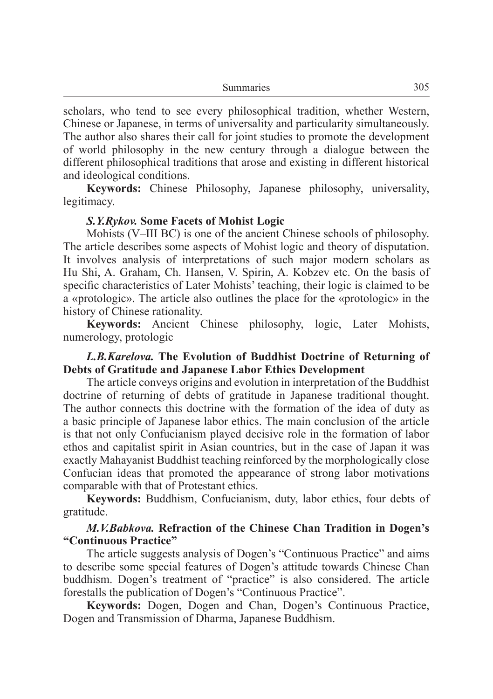| Summaries | 305 |
|-----------|-----|
|-----------|-----|

scholars, who tend to see every philosophical tradition, whether Western, Chinese or Japanese, in terms of universality and particularity simultaneously. The author also shares their call for joint studies to promote the development of world philosophy in the new century through a dialogue between the different philosophical traditions that arose and existing in different historical and ideological conditions.

**Keywords:** Chinese Philosophy, Japanese philosophy, universality, legitimacy.

### *S.Y.Rykov.* **Some Facets of Mohist Logic**

Mohists (V–III BC) is one of the ancient Chinese schools of philosophy. The article describes some aspects of Mohist logic and theory of disputation. It involves analysis of interpretations of such major modern scholars as Hu Shi, A. Graham, Ch. Hansen, V. Spirin, A. Kobzev etc. On the basis of specific characteristics of Later Mohists' teaching, their logic is claimed to be a «protologic». The article also outlines the place for the «protologic» in the history of Chinese rationality.

**Keywords:** Ancient Chinese philosophy, logic, Later Mohists, numerology, protologic

### *L.B.Karelova.* **The Evolution of Buddhist Doctrine of Returning of Debts of Gratitude and Japanese Labor Ethics Development**

The article conveys origins and evolution in interpretation of the Buddhist doctrine of returning of debts of gratitude in Japanese traditional thought. The author connects this doctrine with the formation of the idea of duty as a basic principle of Japanese labor ethics. The main conclusion of the article is that not only Confucianism played decisive role in the formation of labor ethos and capitalist spirit in Asian countries, but in the case of Japan it was exactly Mahayanist Buddhist teaching reinforced by the morphologically close Confucian ideas that promoted the appearance of strong labor motivations comparable with that of Protestant ethics.

**Keywords:** Buddhism, Confucianism, duty, labor ethics, four debts of gratitude.

## *M.V.Babkova.* **Refraction of the Chinese Chan Tradition in Dogen's "Continuous Practice"**

The article suggests analysis of Dogen's "Continuous Practice" and aims to describe some special features of Dogen's attitude towards Chinese Chan buddhism. Dogen's treatment of "practice" is also considered. The article forestalls the publication of Dogen's "Continuous Practice".

**Keywords:** Dogen, Dogen and Chan, Dogen's Continuous Practice, Dogen and Transmission of Dharma, Japanese Buddhism.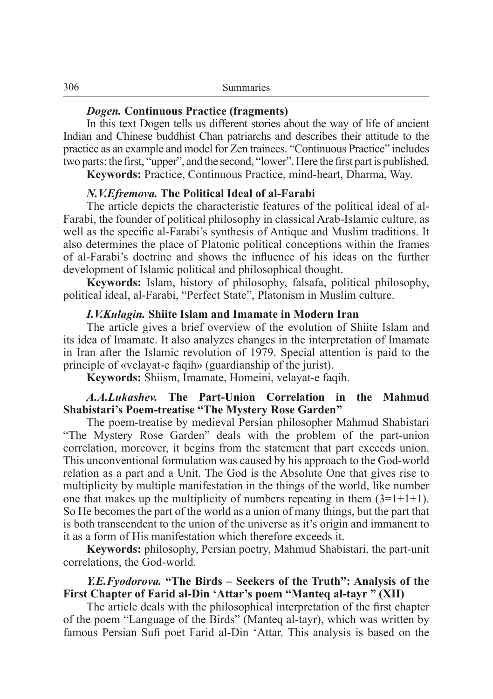### *Dogen.* **Continuous Practice (fragments)**

In this text Dogen tells us different stories about the way of life of ancient Indian and Chinese buddhist Chan patriarchs and describes their attitude to the practice as an example and model for Zen trainees. "Continuous Practice" includes two parts: the first, "upper", and the second, "lower". Here the first part is published.

**Keywords:** Practice, Continuous Practice, mind-heart, Dharma, Way.

#### *N.V.Efremova.* **The Political Ideal of al-Farabi**

The article depicts the characteristic features of the political ideal of al-Farabi, the founder of political philosophy in classical Arab-Islamic culture, as well as the specific al-Farabi's synthesis of Antique and Muslim traditions. It also determines the place of Platonic political conceptions within the frames of al-Farabi's doctrine and shows the influence of his ideas on the further development of Islamic political and philosophical thought.

**Keywords:** Islam, history of philosophy, falsafa, political philosophy, political ideal, al-Farabi, "Perfect State", Platonism in Muslim culture.

#### *I.V.Kulagin.* **Shiite Islam and Imamate in Modern Iran**

The article gives a brief overview of the evolution of Shiite Islam and its idea of Imamate. It also analyzes changes in the interpretation of Imamate in Iran after the Islamic revolution of 1979. Special attention is paid to the principle of «velayat-e faqih» (guardianship of the jurist).

**Keywords:** Shiism, Imamate, Homeini, velayat-e faqih.

## *A.A.Lukashev.* **The Part-Union Correlation in the Mahmud Shabistari's Poem-treatise "The Mystery Rose Garden"**

The poem-treatise by medieval Persian philosopher Mahmud Shabistari "The Mystery Rose Garden" deals with the problem of the part-union correlation, moreover, it begins from the statement that part exceeds union. This unconventional formulation was caused by his approach to the God-world relation as a part and a Unit. The God is the Absolute One that gives rise to multiplicity by multiple manifestation in the things of the world, like number one that makes up the multiplicity of numbers repeating in them  $(3=1+1+1)$ . So He becomes the part of the world as a union of many things, but the part that is both transcendent to the union of the universe as it's origin and immanent to it as a form of His manifestation which therefore exceeds it.

**Keywords:** philosophy, Persian poetry, Mahmud Shabistari, the part-unit correlations, the God-world.

## *Y.E.Fyodorova.* **"The Birds – Seekers of the Truth": Analysis of the First Chapter of Farid al-Din 'Attar's poem "Manteq al-tayr " (XII)**

The article deals with the philosophical interpretation of the first chapter of the poem "Language of the Birds" (Manteq al-tayr), which was written by famous Persian Sufi poet Farid al-Din 'Attar. This analysis is based on the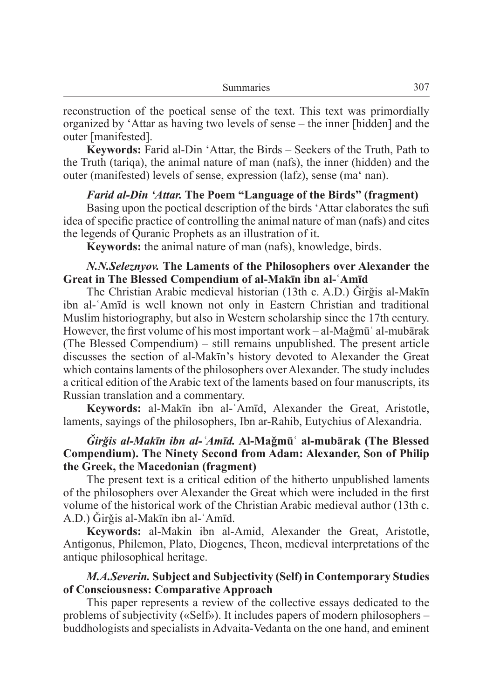reconstruction of the poetical sense of the text. This text was primordially organized by 'Attar as having two levels of sense – the inner [hidden] and the outer [manifested].

**Keywords:** Farid al-Din 'Attar, the Birds – Seekers of the Truth, Path to the Truth (tariqa), the animal nature of man (nafs), the inner (hidden) and the outer (manifested) levels of sense, expression (lafz), sense (ma' nan).

### *Farid al-Din 'Attar.* The Poem "Language of the Birds" (fragment)

Basing upon the poetical description of the birds 'Attar elaborates the sufi idea of specific practice of controlling the animal nature of man (nafs) and cites the legends of Quranic Prophets as an illustration of it.

**Keywords:** the animal nature of man (nafs), knowledge, birds.

### *N.N.Seleznyov.* **The Laments of the Philosophers over Alexander the Great in The Blessed Compendium of al-Makīn ibn al-ʿAmīd**

The Christian Arabic medieval historian (13th c. A.D.) Girğis al-Makīn ibn al-ʿAmīd is well known not only in Eastern Christian and traditional Muslim historiography, but also in Western scholarship since the 17th century. However, the first volume of his most important work – al-Maǧmūʿ al-mubārak (The Blessed Compendium) – still remains unpublished. The present article discusses the section of al-Makīn's history devoted to Alexander the Great which contains laments of the philosophers over Alexander. The study includes a critical edition of the Arabic text of the laments based on four manuscripts, its Russian translation and a commentary.

**Keywords:** al-Makīn ibn al-ʿAmīd, Alexander the Great, Aristotle, laments, sayings of the philosophers, Ibn ar-Rahib, Eutychius of Alexandria.

# *Ǧirǧis al-Makīn ibn al-ʿAmīd.* **Al-Maǧmūʿ al-mubārak (The Blessed Compendium). The Ninety Second from Adam: Alexander, Son of Philip the Greek, the Macedonian (fragment)**

The present text is a critical edition of the hitherto unpublished laments of the philosophers over Alexander the Great which were included in the first volume of the historical work of the Christian Arabic medieval author (13th c. A.D.) Ǧirǧis al-Makīn ibn al-ʿAmīd.

**Keywords:** al-Makin ibn al-Amid, Alexander the Great, Aristotle, Antigonus, Philemon, Plato, Diogenes, Theon, medieval interpretations of the antique philosophical heritage.

## *M.A.Severin.* **Subject and Subjectivity (Self) in Contemporary Studies of Consciousness: Comparative Approach**

This paper represents a review of the collective essays dedicated to the problems of subjectivity («Self»). It includes papers of modern philosophers – buddhologists and specialists in Advaita-Vedanta on the one hand, and eminent